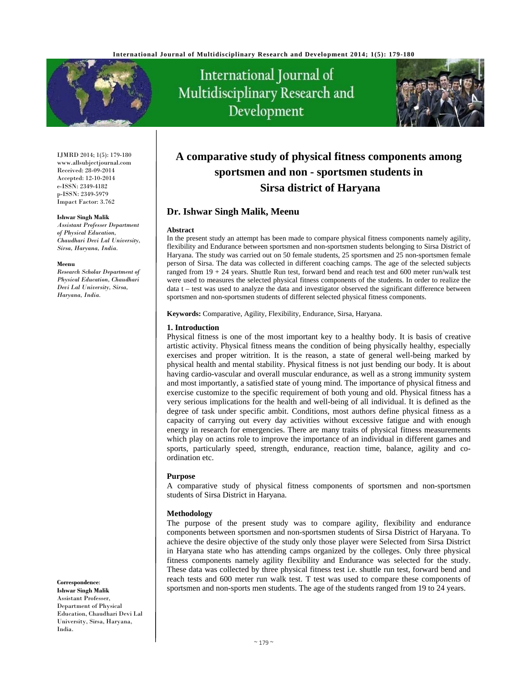

International Journal of Multidisciplinary Research and Development



IJMRD 2014; 1(5): 179-180 www.allsubjectjournal.com Received: 28-09-2014 Accepted: 12-10-2014 e-ISSN: 2349-4182 p-ISSN: 2349-5979 Impact Factor: 3.762

#### **Ishwar Singh Malik**

*Assistant Professer Department of Physical Education, Chaudhari Devi Lal University, Sirsa, Haryana, India.* 

#### **Meenu**

*Research Scholar Department of Physical Education, Chaudhari Devi Lal University, Sirsa, Haryana, India.* 

#### **Correspondence**: **Ishwar Singh Malik** Assistant Professer,

Department of Physical Education, Chaudhari Devi Lal University, Sirsa, Haryana, India.

# **A comparative study of physical fitness components among sportsmen and non - sportsmen students in Sirsa district of Haryana**

# **Dr. Ishwar Singh Malik, Meenu**

### **Abstract**

In the present study an attempt has been made to compare physical fitness components namely agility, flexibility and Endurance between sportsmen and non-sportsmen students belonging to Sirsa District of Haryana. The study was carried out on 50 female students, 25 sportsmen and 25 non-sportsmen female person of Sirsa. The data was collected in different coaching camps. The age of the selected subjects ranged from 19 + 24 years. Shuttle Run test, forward bend and reach test and 600 meter run/walk test were used to measures the selected physical fitness components of the students. In order to realize the data t – test was used to analyze the data and investigator observed the significant difference between sportsmen and non-sportsmen students of different selected physical fitness components.

**Keywords:** Comparative, Agility, Flexibility, Endurance, Sirsa, Haryana.

### **1. Introduction**

Physical fitness is one of the most important key to a healthy body. It is basis of creative artistic activity. Physical fitness means the condition of being physically healthy, especially exercises and proper witrition. It is the reason, a state of general well-being marked by physical health and mental stability. Physical fitness is not just bending our body. It is about having cardio-vascular and overall muscular endurance, as well as a strong immunity system and most importantly, a satisfied state of young mind. The importance of physical fitness and exercise customize to the specific requirement of both young and old. Physical fitness has a very serious implications for the health and well-being of all individual. It is defined as the degree of task under specific ambit. Conditions, most authors define physical fitness as a capacity of carrying out every day activities without excessive fatigue and with enough energy in research for emergencies. There are many traits of physical fitness measurements which play on actins role to improve the importance of an individual in different games and sports, particularly speed, strength, endurance, reaction time, balance, agility and coordination etc.

#### **Purpose**

A comparative study of physical fitness components of sportsmen and non-sportsmen students of Sirsa District in Haryana.

# **Methodology**

The purpose of the present study was to compare agility, flexibility and endurance components between sportsmen and non-sportsmen students of Sirsa District of Haryana. To achieve the desire objective of the study only those player were Selected from Sirsa District in Haryana state who has attending camps organized by the colleges. Only three physical fitness components namely agility flexibility and Endurance was selected for the study. These data was collected by three physical fitness test i.e. shuttle run test, forward bend and reach tests and 600 meter run walk test. T test was used to compare these components of sportsmen and non-sports men students. The age of the students ranged from 19 to 24 years.